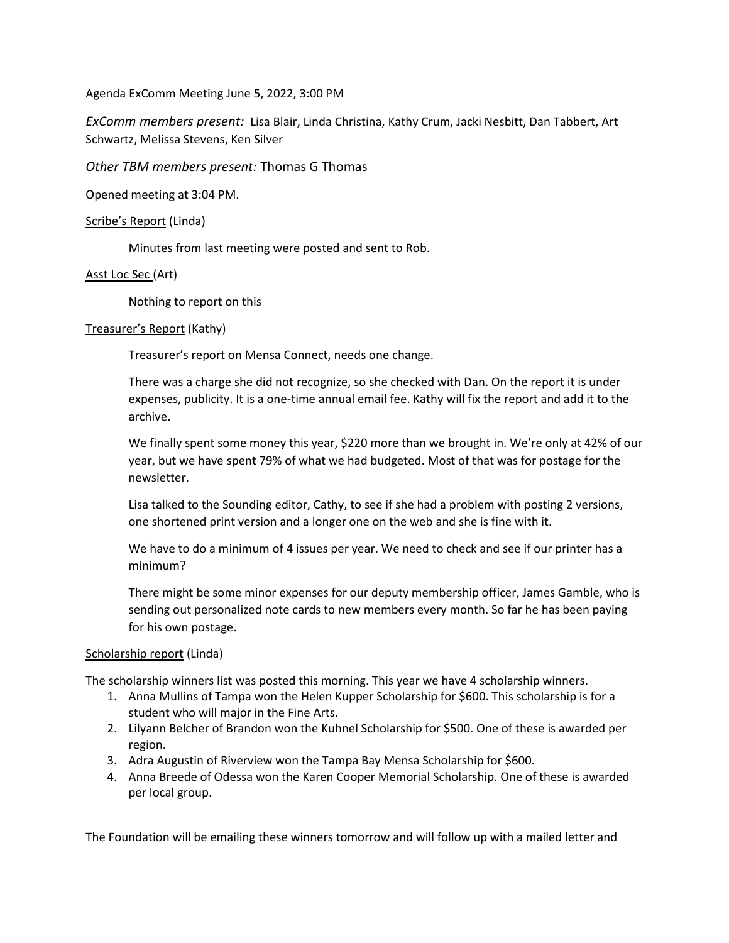Agenda ExComm Meeting June 5, 2022, 3:00 PM

*ExComm members present:* Lisa Blair, Linda Christina, Kathy Crum, Jacki Nesbitt, Dan Tabbert, Art Schwartz, Melissa Stevens, Ken Silver

*Other TBM members present:* Thomas G Thomas

Opened meeting at 3:04 PM.

# Scribe's Report (Linda)

Minutes from last meeting were posted and sent to Rob.

# Asst Loc Sec (Art)

Nothing to report on this

# Treasurer's Report (Kathy)

Treasurer's report on Mensa Connect, needs one change.

There was a charge she did not recognize, so she checked with Dan. On the report it is under expenses, publicity. It is a one-time annual email fee. Kathy will fix the report and add it to the archive.

We finally spent some money this year, \$220 more than we brought in. We're only at 42% of our year, but we have spent 79% of what we had budgeted. Most of that was for postage for the newsletter.

Lisa talked to the Sounding editor, Cathy, to see if she had a problem with posting 2 versions, one shortened print version and a longer one on the web and she is fine with it.

We have to do a minimum of 4 issues per year. We need to check and see if our printer has a minimum?

There might be some minor expenses for our deputy membership officer, James Gamble, who is sending out personalized note cards to new members every month. So far he has been paying for his own postage.

# Scholarship report (Linda)

The scholarship winners list was posted this morning. This year we have 4 scholarship winners.

- 1. Anna Mullins of Tampa won the Helen Kupper Scholarship for \$600. This scholarship is for a student who will major in the Fine Arts.
- 2. Lilyann Belcher of Brandon won the Kuhnel Scholarship for \$500. One of these is awarded per region.
- 3. Adra Augustin of Riverview won the Tampa Bay Mensa Scholarship for \$600.
- 4. Anna Breede of Odessa won the Karen Cooper Memorial Scholarship. One of these is awarded per local group.

The Foundation will be emailing these winners tomorrow and will follow up with a mailed letter and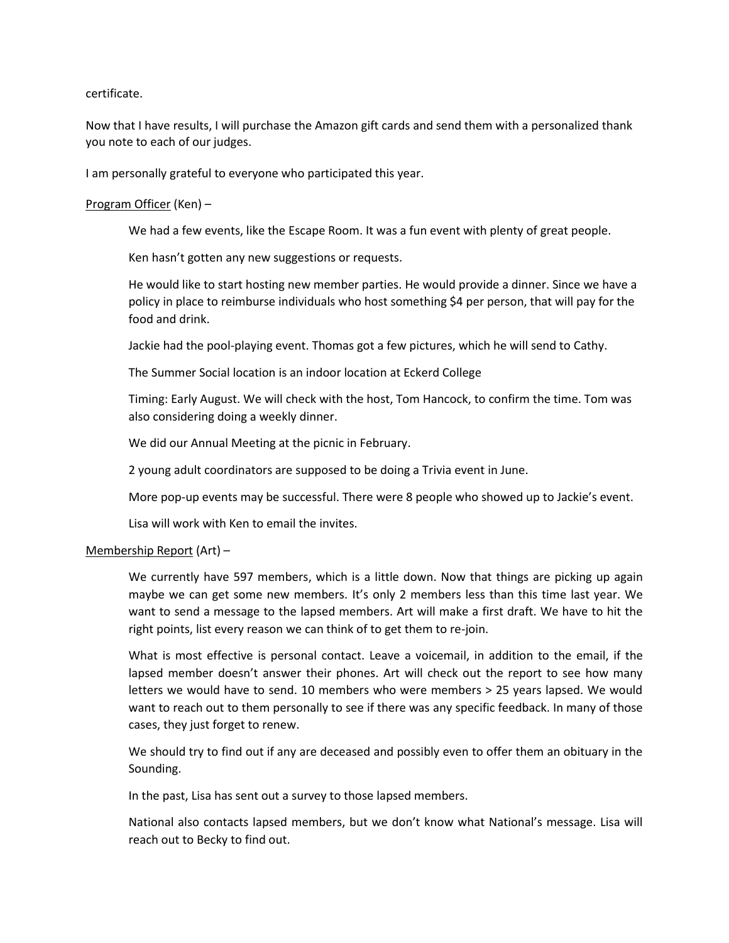### certificate.

Now that I have results, I will purchase the Amazon gift cards and send them with a personalized thank you note to each of our judges.

I am personally grateful to everyone who participated this year.

### Program Officer (Ken) –

We had a few events, like the Escape Room. It was a fun event with plenty of great people.

Ken hasn't gotten any new suggestions or requests.

He would like to start hosting new member parties. He would provide a dinner. Since we have a policy in place to reimburse individuals who host something \$4 per person, that will pay for the food and drink.

Jackie had the pool-playing event. Thomas got a few pictures, which he will send to Cathy.

The Summer Social location is an indoor location at Eckerd College

Timing: Early August. We will check with the host, Tom Hancock, to confirm the time. Tom was also considering doing a weekly dinner.

We did our Annual Meeting at the picnic in February.

2 young adult coordinators are supposed to be doing a Trivia event in June.

More pop-up events may be successful. There were 8 people who showed up to Jackie's event.

Lisa will work with Ken to email the invites.

#### Membership Report (Art) –

We currently have 597 members, which is a little down. Now that things are picking up again maybe we can get some new members. It's only 2 members less than this time last year. We want to send a message to the lapsed members. Art will make a first draft. We have to hit the right points, list every reason we can think of to get them to re-join.

What is most effective is personal contact. Leave a voicemail, in addition to the email, if the lapsed member doesn't answer their phones. Art will check out the report to see how many letters we would have to send. 10 members who were members > 25 years lapsed. We would want to reach out to them personally to see if there was any specific feedback. In many of those cases, they just forget to renew.

We should try to find out if any are deceased and possibly even to offer them an obituary in the Sounding.

In the past, Lisa has sent out a survey to those lapsed members.

National also contacts lapsed members, but we don't know what National's message. Lisa will reach out to Becky to find out.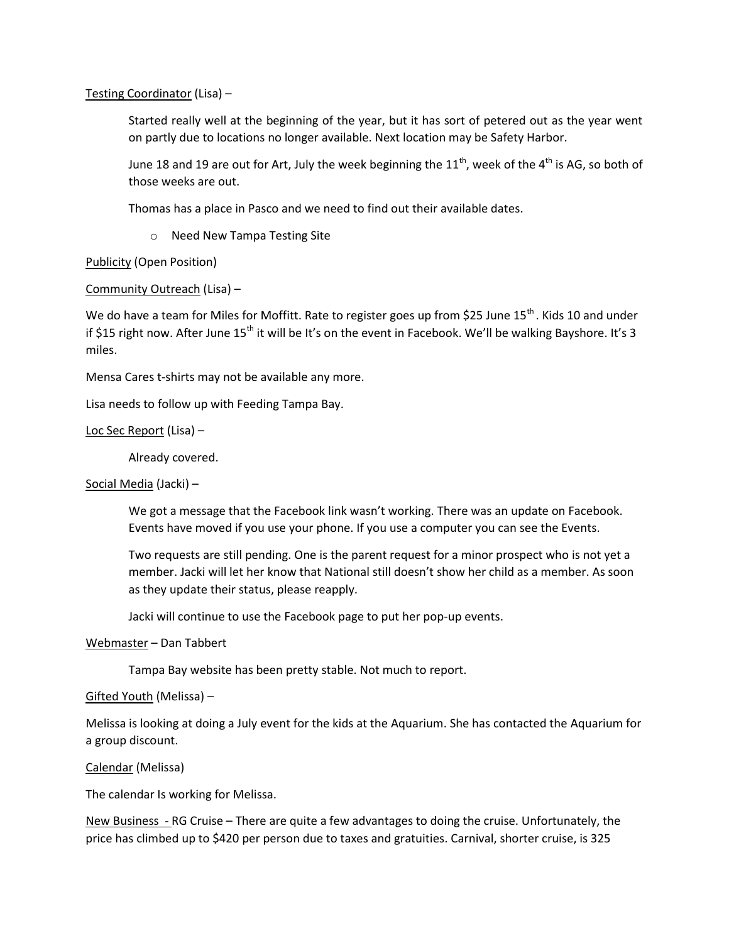Testing Coordinator (Lisa) –

Started really well at the beginning of the year, but it has sort of petered out as the year went on partly due to locations no longer available. Next location may be Safety Harbor.

June 18 and 19 are out for Art, July the week beginning the  $11^{th}$ , week of the 4<sup>th</sup> is AG, so both of those weeks are out.

Thomas has a place in Pasco and we need to find out their available dates.

o Need New Tampa Testing Site

# Publicity (Open Position)

# Community Outreach (Lisa) –

We do have a team for Miles for Moffitt. Rate to register goes up from \$25 June 15<sup>th</sup>. Kids 10 and under if \$15 right now. After June 15<sup>th</sup> it will be It's on the event in Facebook. We'll be walking Bayshore. It's 3 miles.

Mensa Cares t-shirts may not be available any more.

Lisa needs to follow up with Feeding Tampa Bay.

### Loc Sec Report (Lisa) –

Already covered.

#### Social Media (Jacki) –

We got a message that the Facebook link wasn't working. There was an update on Facebook. Events have moved if you use your phone. If you use a computer you can see the Events.

Two requests are still pending. One is the parent request for a minor prospect who is not yet a member. Jacki will let her know that National still doesn't show her child as a member. As soon as they update their status, please reapply.

Jacki will continue to use the Facebook page to put her pop-up events.

### Webmaster – Dan Tabbert

Tampa Bay website has been pretty stable. Not much to report.

#### Gifted Youth (Melissa) –

Melissa is looking at doing a July event for the kids at the Aquarium. She has contacted the Aquarium for a group discount.

#### Calendar (Melissa)

The calendar Is working for Melissa.

New Business - RG Cruise – There are quite a few advantages to doing the cruise. Unfortunately, the price has climbed up to \$420 per person due to taxes and gratuities. Carnival, shorter cruise, is 325